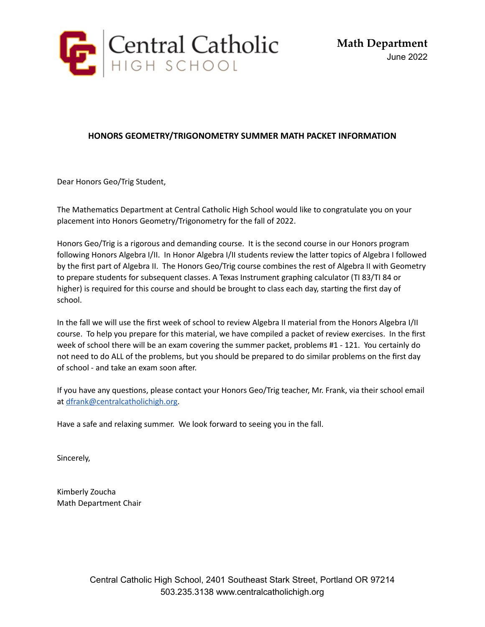

#### **HONORS GEOMETRY/TRIGONOMETRY SUMMER MATH PACKET INFORMATION**

Dear Honors Geo/Trig Student,

The Mathematics Department at Central Catholic High School would like to congratulate you on your placement into Honors Geometry/Trigonometry for the fall of 2022.

Honors Geo/Trig is a rigorous and demanding course. It is the second course in our Honors program following Honors Algebra I/II. In Honor Algebra I/II students review the latter topics of Algebra I followed by the first part of Algebra II. The Honors Geo/Trig course combines the rest of Algebra II with Geometry to prepare students for subsequent classes. A Texas Instrument graphing calculator (TI 83/TI 84 or higher) is required for this course and should be brought to class each day, starting the first day of school.

In the fall we will use the first week of school to review Algebra II material from the Honors Algebra I/II course. To help you prepare for this material, we have compiled a packet of review exercises. In the first week of school there will be an exam covering the summer packet, problems #1 - 121. You certainly do not need to do ALL of the problems, but you should be prepared to do similar problems on the first day of school - and take an exam soon after.

If you have any questions, please contact your Honors Geo/Trig teacher, Mr. Frank, via their school email at [dfrank@centralcatholichigh.org](mailto:dfrank@centralcatholichigh.org).

Have a safe and relaxing summer. We look forward to seeing you in the fall.

Sincerely,

Kimberly Zoucha Math Department Chair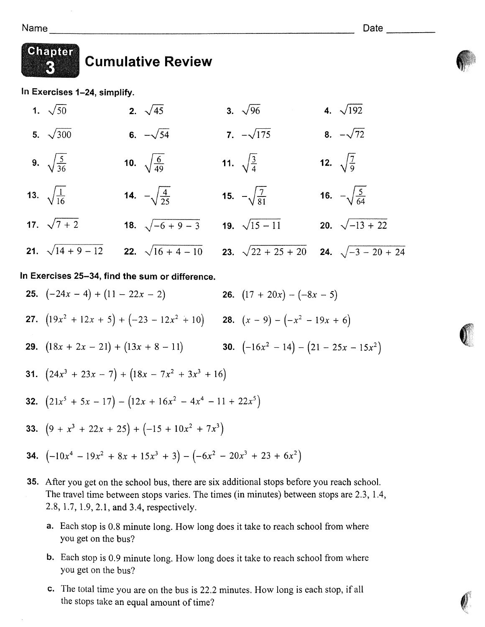

### Chapter **Cumulative Review**

In Exercises 1-24, simplify.

4.  $\sqrt{192}$  $2\sqrt{45}$ 3.  $\sqrt{96}$ 1.  $\sqrt{50}$ 6.  $-\sqrt{54}$ 7.  $-\sqrt{175}$ 8.  $-\sqrt{72}$ 5.  $\sqrt{300}$ 12.  $\sqrt{\frac{7}{9}}$ 9.  $\sqrt{\frac{5}{36}}$ 10.  $\sqrt{\frac{6}{49}}$ 11.  $\sqrt{\frac{3}{4}}$ 13.  $\sqrt{\frac{1}{16}}$ 16.  $-\sqrt{\frac{5}{64}}$ 14.  $-\sqrt{\frac{4}{25}}$ 15.  $-\sqrt{\frac{7}{81}}$ 17.  $\sqrt{7+2}$ 18.  $\sqrt{-6+9-3}$ 19.  $\sqrt{15-11}$ 20.  $\sqrt{-13 + 22}$ 21.  $\sqrt{14+9-12}$ 22.  $\sqrt{16+4-10}$ 23.  $\sqrt{22 + 25 + 20}$ **24.**  $\sqrt{-3 - 20 + 24}$ 

## In Exercises 25-34, find the sum or difference.

- **25.**  $(-24x 4) + (11 22x 2)$ **26.**  $(17 + 20x) - (-8x - 5)$ **27.**  $(19x^2 + 12x + 5) + (-23 - 12x^2 + 10)$  **28.**  $(x - 9) - (-x^2 - 19x + 6)$ **29.**  $(18x + 2x - 21) + (13x + 8 - 11)$  **30.**  $(-16x^2 - 14) - (21 - 25x - 15x^2)$ 31.  $(24x^3 + 23x - 7) + (18x - 7x^2 + 3x^3 + 16)$ **32.**  $(21x^5 + 5x - 17) - (12x + 16x^2 - 4x^4 - 11 + 22x^5)$ 33.  $(9 + x^3 + 22x + 25) + (-15 + 10x^2 + 7x^3)$ **34.**  $(-10x^4 - 19x^2 + 8x + 15x^3 + 3) - (-6x^2 - 20x^3 + 23 + 6x^2)$
- 35. After you get on the school bus, there are six additional stops before you reach school. The travel time between stops varies. The times (in minutes) between stops are 2.3, 1.4, 2.8, 1.7, 1.9, 2.1, and 3.4, respectively.
	- **a.** Each stop is 0.8 minute long. How long does it take to reach school from where you get on the bus?
	- **b.** Each stop is 0.9 minute long. How long does it take to reach school from where you get on the bus?
	- c. The total time you are on the bus is 22.2 minutes. How long is each stop, if all the stops take an equal amount of time?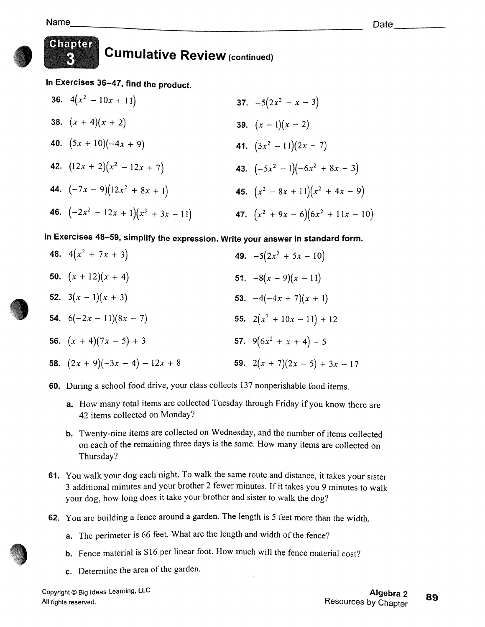K)



# Chapter **Cumulative Review (continued)**

In Exercises 36-47, find the product.

**36.**  $4(x^2 - 10x + 11)$ 37.  $-5(2x^2 - x - 3)$ 38.  $(x + 4)(x + 2)$ 39.  $(x-1)(x-2)$ 40.  $(5x + 10)(-4x + 9)$ 41.  $(3x^2 - 11)(2x - 7)$ 42.  $(12x + 2)(x^2 - 12x + 7)$ 43.  $(-5x^2 - 1)(-6x^2 + 8x - 3)$ 44.  $(-7x - 9)(12x^2 + 8x + 1)$ 45.  $(x^2-8x+11)(x^2+4x-9)$ 46.  $(-2x^2 + 12x + 1)(x^3 + 3x - 11)$ 47.  $(x^2 + 9x - 6)(6x^2 + 11x - 10)$ 

In Exercises 48-59, simplify the expression. Write your answer in standard form.

- 48.  $4(x^2 + 7x + 3)$ 49.  $-5(2x^2 + 5x - 10)$ 50.  $(x + 12)(x + 4)$ 51.  $-8(x-9)(x-11)$ 52.  $3(x-1)(x+3)$ 53.  $-4(-4x + 7)(x + 1)$ **54.**  $6(-2x - 11)(8x - 7)$ 55.  $2(x^2 + 10x - 11) + 12$ 56.  $(x + 4)(7x - 5) + 3$ 57.  $9(6x^2 + x + 4) - 5$ 58.  $(2x + 9)(-3x - 4) - 12x + 8$ 59.  $2(x + 7)(2x - 5) + 3x - 17$
- 60. During a school food drive, your class collects 137 nonperishable food items.
	- a. How many total items are collected Tuesday through Friday if you know there are 42 items collected on Monday?
	- b. Twenty-nine items are collected on Wednesday, and the number of items collected on each of the remaining three days is the same. How many items are collected on Thursday?
- 61. You walk your dog each night. To walk the same route and distance, it takes your sister 3 additional minutes and your brother 2 fewer minutes. If it takes you 9 minutes to walk your dog, how long does it take your brother and sister to walk the dog?
- 62. You are building a fence around a garden. The length is 5 feet more than the width.
	- a. The perimeter is 66 feet. What are the length and width of the fence?
	- **b.** Fence material is \$16 per linear foot. How much will the fence material cost?
	- c. Determine the area of the garden.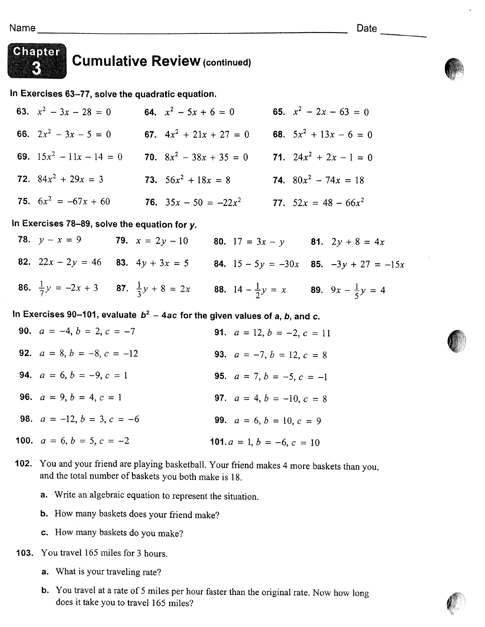

# Chapter

# **Cumulative Review (continued)**

In Exercises 63-77, solve the quadratic equation.

63.  $x^2 - 3x - 28 = 0$ <br>64.  $x^2 - 5x + 6 = 0$ 65.  $x^2 - 2x - 63 = 0$ 66.  $2x^2 - 3x - 5 = 0$ <br>67.  $4x^2 + 21x + 27 = 0$ <br>68.  $5x^2 + 13x - 6 = 0$ 69.  $15x^2 - 11x - 14 = 0$  70.  $8x^2 - 38x + 35 = 0$  71.  $24x^2 + 2x - 1 = 0$ **72.**  $84x^2 + 29x = 3$  **73.**  $56x^2 + 18x = 8$  **74.**  $80x^2 - 74x = 18$ 75.  $6x^2 = -67x + 60$ <br>76.  $35x - 50 = -22x^2$ <br>77.  $52x = 48 - 66x^2$ 

In Exercises 78-89, solve the equation for y.

**78.**  $y - x = 9$ **79.**  $x = 2y - 10$  **80.**  $17 = 3x - y$  **81.**  $2y + 8 = 4x$ 82.  $22x - 2y = 46$  83.  $4y + 3x = 5$  84.  $15 - 5y = -30x$  85.  $-3y + 27 = -15x$ **86.**  $\frac{1}{7}y = -2x + 3$  **87.**  $\frac{1}{3}y + 8 = 2x$  **88.**  $14 - \frac{1}{2}y = x$  **89.**  $9x - \frac{1}{5}y = 4$ 

In Exercises 90-101, evaluate  $b^2$  - 4ac for the given values of a, b, and c.

| <b>90.</b> $a = -4, b = 2, c = -7$  | <b>91.</b> $a = 12, b = -2, c = 11$ |
|-------------------------------------|-------------------------------------|
| <b>92.</b> $a = 8, b = -8, c = -12$ | <b>93.</b> $a = -7, b = 12, c = 8$  |
| <b>94.</b> $a = 6, b = -9, c = 1$   | <b>95.</b> $a = 7, b = -5, c = -1$  |
| <b>96.</b> $a = 9, b = 4, c = 1$    | <b>97.</b> $a = 4, b = -10, c = 8$  |
| <b>98.</b> $a = -12, b = 3, c = -6$ | <b>99.</b> $a = 6, b = 10, c = 9$   |
| <b>100.</b> $a = 6, b = 5, c = -2$  | 101. $a = 1, b = -6, c = 10$        |

- 102. You and your friend are playing basketball. Your friend makes 4 more baskets than you, and the total number of baskets you both make is 18.
	- a. Write an algebraic equation to represent the situation.
	- b. How many baskets does your friend make?
	- c. How many baskets do you make?
- 103. You travel 165 miles for 3 hours.
	- a. What is your traveling rate?
	- b. You travel at a rate of 5 miles per hour faster than the original rate. Now how long does it take you to travel 165 miles?